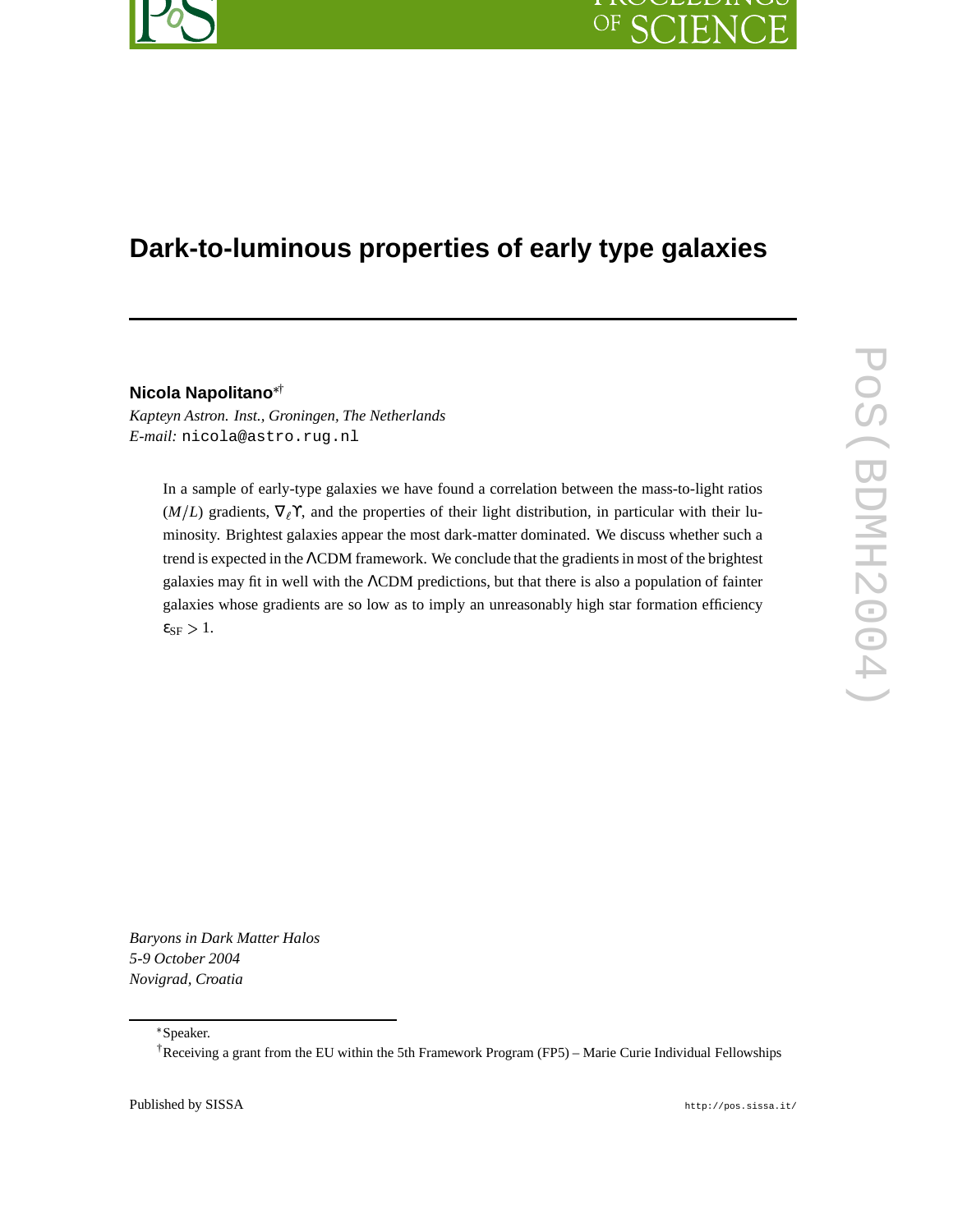# **Dark-to-luminous properties of early type galaxies**

#### **Nicola Napolitano** †

*Kapteyn Astron. Inst., Groningen, The Netherlands E-mail:* nicola@astro.rug.nl

> In a sample of early-type galaxies we have found a correlation between the mass-to-light ratios  $(M/L)$  gradients,  $\nabla_\ell \Upsilon$ , and the properties of their light distribution, in particular with their luminosity. Brightest galaxies appear the most dark-matter dominated. We discuss whether such a trend is expected in the ΛCDM framework. We conclude that the gradientsin most of the brightest galaxies may fit in well with the ΛCDM predictions, but that there is also a population of fainter galaxies whose gradients are so low as to imply an unreasonably high star formation efficiency  $\varepsilon_{SF} > 1$ .

*Baryons in Dark Matter Halos 5-9 October 2004 Novigrad, Croatia*

Published by SISSA http://pos.sissa.it/

Speaker.

<sup>†</sup>Receiving a grant from the EU within the 5th Framework Program (FP5) – Marie Curie Individual Fellowships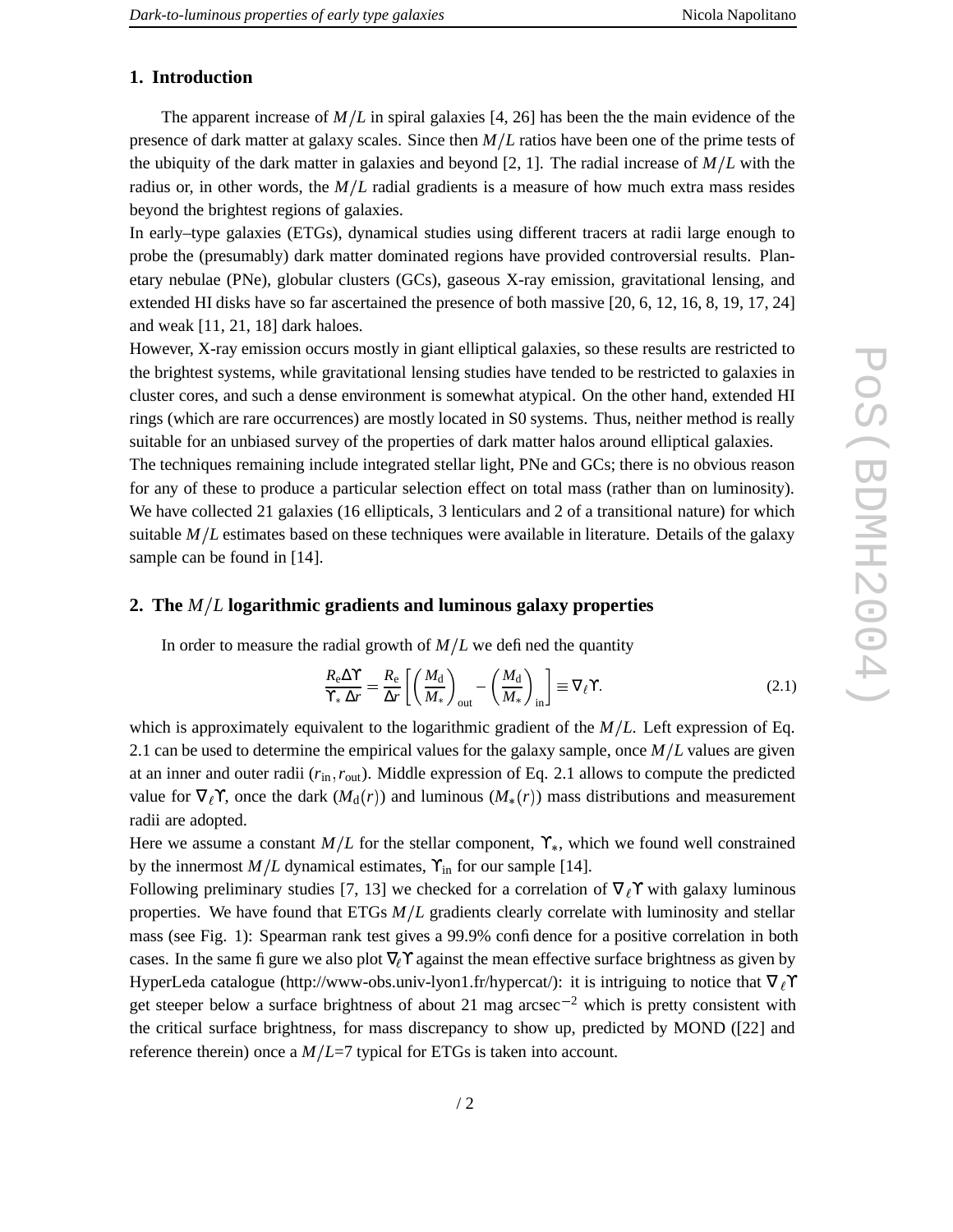## **1. Introduction**

The apparent increase of  $M/L$  in spiral galaxies [4, 26] has been the the main evidence of the presence of dark matter at galaxy scales. Since then *M L* ratios have been one of the prime tests of the ubiquity of the dark matter in galaxies and beyond [2, 1]. The radial increase of  $M/L$  with the radius or, in other words, the  $M/L$  radial gradients is a measure of how much extra mass resides beyond the brightest regions of galaxies.

In early–type galaxies (ETGs), dynamical studies using different tracers at radii large enough to probe the (presumably) dark matter dominated regions have provided controversial results. Planetary nebulae (PNe), globular clusters (GCs), gaseous X-ray emission, gravitational lensing, and extended HI disks have so far ascertained the presence of both massive [20, 6, 12, 16, 8, 19, 17, 24] and weak [11, 21, 18] dark haloes.

However, X-ray emission occurs mostly in giant elliptical galaxies, so these results are restricted to the brightest systems, while gravitational lensing studies have tended to be restricted to galaxies in cluster cores, and such a dense environment is somewhat atypical. On the other hand, extended HI rings (which are rare occurrences) are mostly located in S0 systems. Thus, neither method is really suitable for an unbiased survey of the properties of dark matter halos around elliptical galaxies.

The techniques remaining include integrated stellar light, PNe and GCs; there is no obvious reason for any of these to produce a particular selection effect on total mass (rather than on luminosity). We have collected 21 galaxies (16 ellipticals, 3 lenticulars and 2 of a transitional nature) for which suitable  $M/L$  estimates based on these techniques were available in literature. Details of the galaxy sample can be found in [14].

### **2. The** *M L* **logarithmic gradients and luminous galaxy properties**

In order to measure the radial growth of  $M/L$  we defined the quantity

$$
\frac{R_{\rm e}\Delta\Upsilon}{\Upsilon_{*}\Delta r} = \frac{R_{\rm e}}{\Delta r} \left[ \left( \frac{M_{\rm d}}{M_{*}} \right)_{\rm out} - \left( \frac{M_{\rm d}}{M_{*}} \right)_{\rm in} \right] \equiv \nabla_{\ell}\Upsilon. \tag{2.1}
$$

which is approximately equivalent to the logarithmic gradient of the *M L*. Left expression of Eq. 2.1 can be used to determine the empirical values for the galaxy sample, once  $M/L$  values are given at an inner and outer radii ( $r_{\text{in}}$ ,  $r_{\text{out}}$ ). Middle expression of Eq. 2.1 allows to compute the predicted value for  $\nabla_{\ell} Y$ , once the dark  $(M_d(r))$  and luminous  $(M_*(r))$  mass distributions and measurement radii are adopted.

Here we assume a constant  $M/L$  for the stellar component,  $\Upsilon_{*}$ , which we found well constrained by the innermost  $M/L$  dynamical estimates,  $\Upsilon_{\text{in}}$  for our sample [14].

Following preliminary studies [7, 13] we checked for a correlation of  $\nabla_\ell \Upsilon$  with galaxy luminous properties. We have found that ETGs  $M/L$  gradients clearly correlate with luminosity and stellar mass (see Fig. 1): Spearman rank test gives a 99.9% confidence for a positive correlation in both cases. In the same figure we also plot  $\nabla \chi$  against the mean effective surface brightness as given by HyperLeda catalogue (http://www-obs.univ-lyon1.fr/hypercat/): it is intriguing to notice that  $\nabla_{\ell} \Upsilon$ get steeper below a surface brightness of about 21 mag arcsec<sup>-2</sup> which is pretty consistent with the critical surface brightness, for mass discrepancy to show up, predicted by MOND ([22] and reference therein) once a  $M/L=7$  typical for ETGs is taken into account.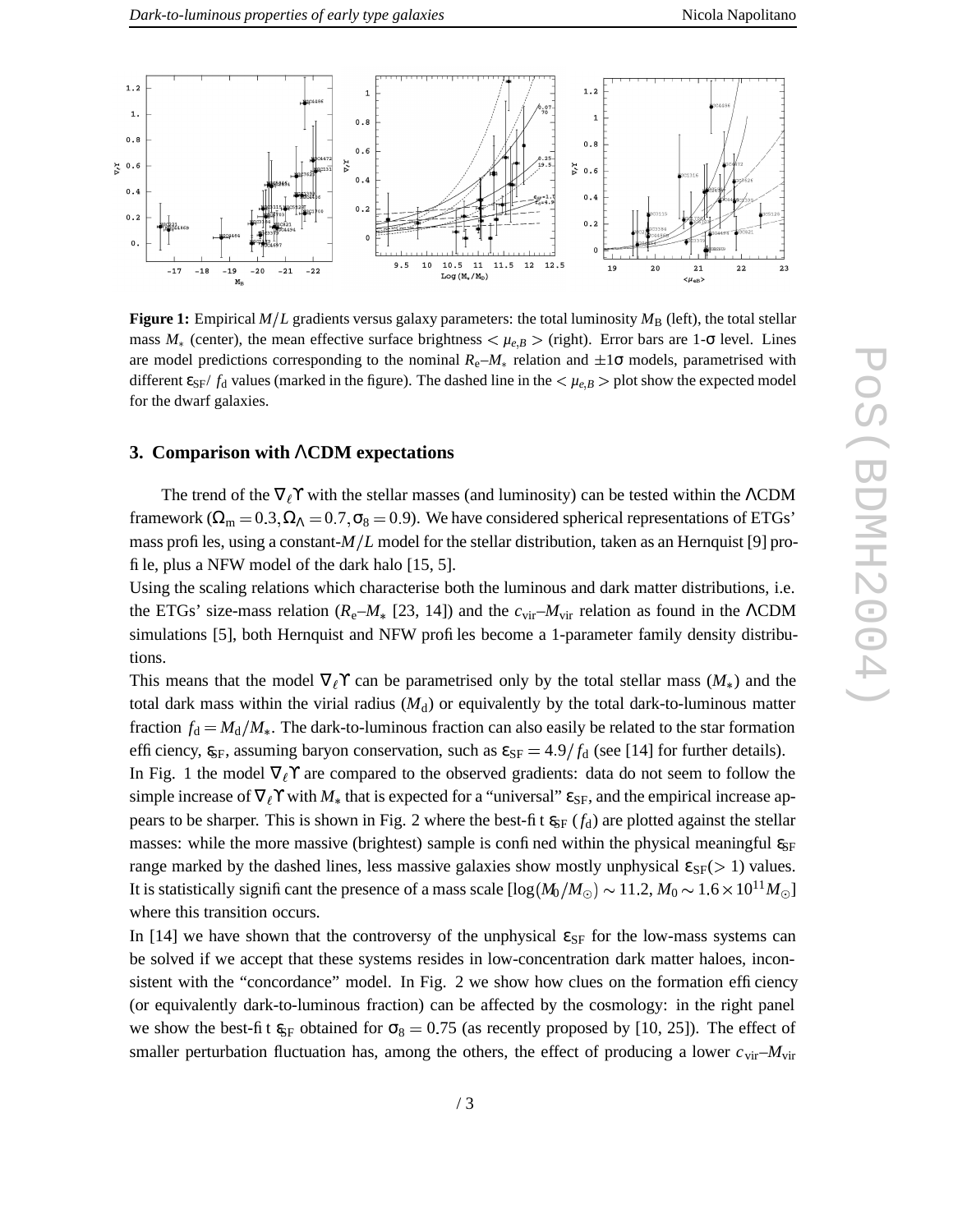

**Figure 1:** Empirical  $M/L$  gradients versus galaxy parameters: the total luminosity  $M_B$  (left), the total stellar mass  $M_*$  (center), the mean effective surface brightness  $\langle \mu_{e,B} \rangle$  (right). Error bars are 1- $\sigma$  level. Lines are model predictions corresponding to the nominal  $R_e$ – $M_*$  relation and  $\pm 1\sigma$  models, parametrised with different  $\epsilon_{SF}/f_d$  values (marked in the figure). The dashed line in the  $\langle \mu_{e,B} \rangle$  plot show the expected model for the dwarf galaxies.

#### **3. Comparison with** Λ**CDM expectations**

The trend of the  $\nabla_\ell \Upsilon$  with the stellar masses (and luminosity) can be tested within the ΛCDM framework ( $\Omega_{\rm m} = 0.3, \Omega_{\Lambda} = 0.7, \sigma_8 = 0.9$ ). We have considered spherical representations of ETGs' mass profiles, using a constant- $M/L$  model for the stellar distribution, taken as an Hernquist [9] profile, plus a NFW model of the dark halo [15, 5].

Using the scaling relations which characterise both the luminous and dark matter distributions, i.e. the ETGs' size-mass relation ( $R_e$ – $M_*$  [23, 14]) and the  $c_{\rm vir}$ – $M_{\rm vir}$  relation as found in the  $\Lambda$ CDM simulations [5], both Hernquist and NFW profiles become a 1-parameter family density distributions.

This means that the model  $\nabla_\ell \Upsilon$  can be parametrised only by the total stellar mass  $(M_*)$  and the total dark mass within the virial radius  $(M<sub>d</sub>)$  or equivalently by the total dark-to-luminous matter fraction  $f_d = M_d/M_*$ . The dark-to-luminous fraction can also easily be related to the star formation efficiency,  $g_F$ , assuming baryon conservation, such as  $\varepsilon_{SF} = 4.9/f_d$  (see [14] for further details).

In Fig. 1 the model  $\nabla_\ell \Upsilon$  are compared to the observed gradients: data do not seem to follow the simple increase of  $\nabla_\ell \Upsilon$  with  $M_*$  that is expected for a "universal"  $\varepsilon_{SF}$ , and the empirical increase appears to be sharper. This is shown in Fig. 2 where the best-fit  $\epsilon_{SF}$  ( $f_d$ ) are plotted against the stellar masses: while the more massive (brightest) sample is confined within the physical meaningful  $\varepsilon_{SF}$ range marked by the dashed lines, less massive galaxies show mostly unphysical  $\varepsilon_{SF}( > 1)$  values. It is statistically significant the presence of a mass scale  $[\log(M_0/M_\odot) \sim 11.2, M_0 \sim 1.6 \times 10^{11} M_\odot]$ where this transition occurs.

In [14] we have shown that the controversy of the unphysical  $\varepsilon_{SF}$  for the low-mass systems can be solved if we accept that these systems resides in low-concentration dark matter haloes, inconsistent with the "concordance" model. In Fig. 2 we show how clues on the formation efficiency (or equivalently dark-to-luminous fraction) can be affected by the cosmology: in the right panel we show the best-fit  $\epsilon_{\text{SF}}$  obtained for  $\sigma_8 = 0.75$  (as recently proposed by [10, 25]). The effect of smaller perturbation fluctuation has, among the others, the effect of producing a lower  $c_{\text{vir}}-M_{\text{vir}}$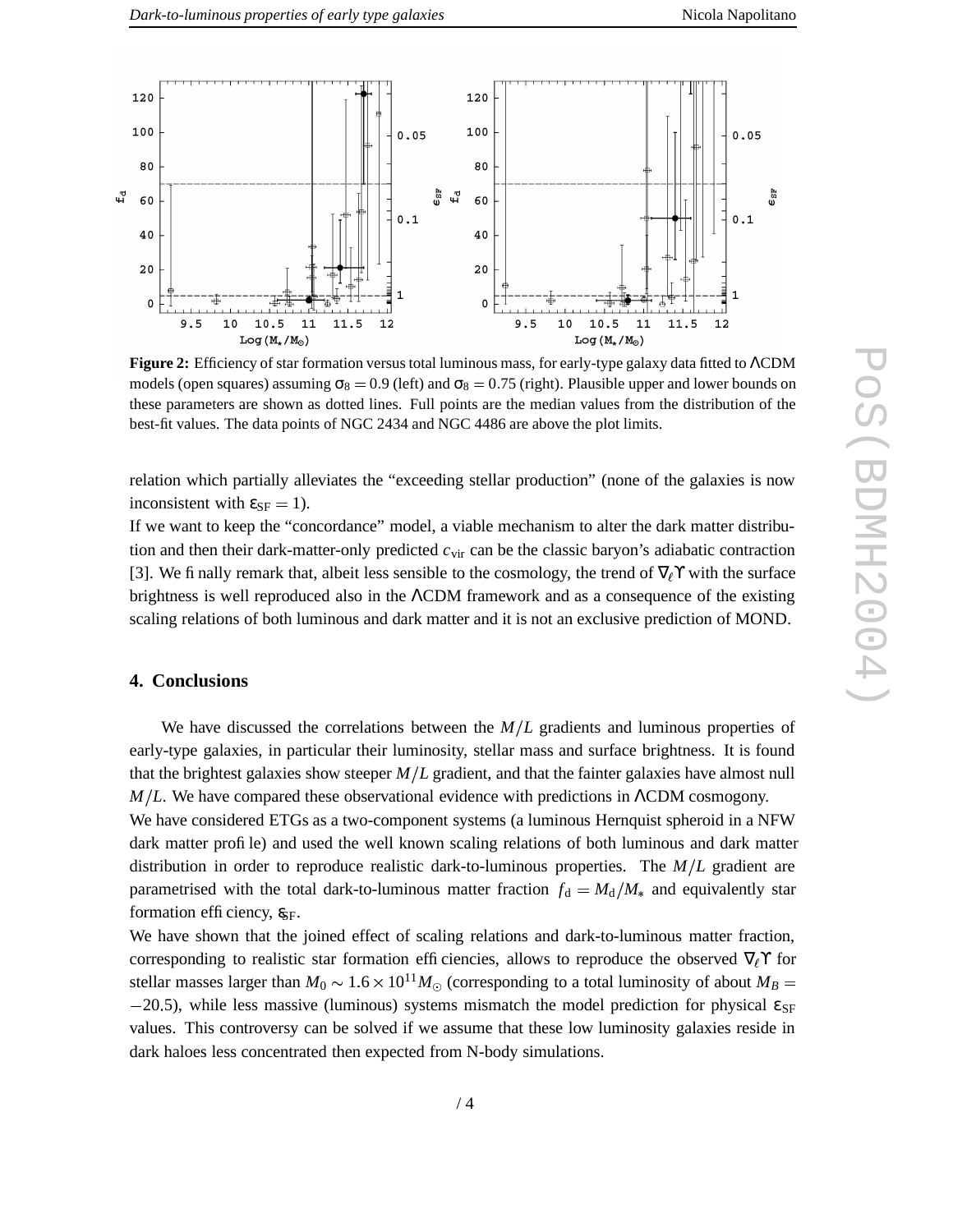

**Figure 2:** Efficiency of star formation versus total luminous mass, for early-type galaxy data fitted to ΛCDM models (open squares) assuming  $\sigma_8 = 0.9$  (left) and  $\sigma_8 = 0.75$  (right). Plausible upper and lower bounds on these parameters are shown as dotted lines. Full points are the median values from the distribution of the best-fit values. The data points of NGC 2434 and NGC 4486 are above the plot limits.

relation which partially alleviates the "exceeding stellar production" (none of the galaxies is now inconsistent with  $\varepsilon_{SF} = 1$ ).

If we want to keep the "concordance" model, a viable mechanism to alter the dark matter distribution and then their dark-matter-only predicted *c*vir can be the classic baryon's adiabatic contraction [3]. We finally remark that, albeit less sensible to the cosmology, the trend of  $\nabla_\ell \Upsilon$  with the surface brightness is well reproduced also in the ΛCDM framework and as a consequence of the existing scaling relations of both luminous and dark matter and it is not an exclusive prediction of MOND.

#### **4. Conclusions**

We have discussed the correlations between the  $M/L$  gradients and luminous properties of early-type galaxies, in particular their luminosity, stellar mass and surface brightness. It is found that the brightest galaxies show steeper *M L* gradient, and that the fainter galaxies have almost null *M*/*L*. We have compared these observational evidence with predictions in ΛCDM cosmogony.

We have considered ETGs as a two-component systems (a luminous Hernquist spheroid in a NFW dark matter profile) and used the well known scaling relations of both luminous and dark matter distribution in order to reproduce realistic dark-to-luminous properties. The  $M/L$  gradient are parametrised with the total dark-to-luminous matter fraction  $f_d = M_d/M_*$  and equivalently star formation efficiency,  $g_{\text{SF}}$ .

We have shown that the joined effect of scaling relations and dark-to-luminous matter fraction, corresponding to realistic star formation efficiencies, allows to reproduce the observed  $\nabla_\ell \Upsilon$  for stellar masses larger than  $M_0 \sim 1.6 \times 10^{11} M_{\odot}$  (corresponding to a total luminosity of about  $M_B =$  $-20.5$ ), while less massive (luminous) systems mismatch the model prediction for physical  $\varepsilon_{SF}$ values. This controversy can be solved if we assume that these low luminosity galaxies reside in dark haloes less concentrated then expected from N-body simulations.